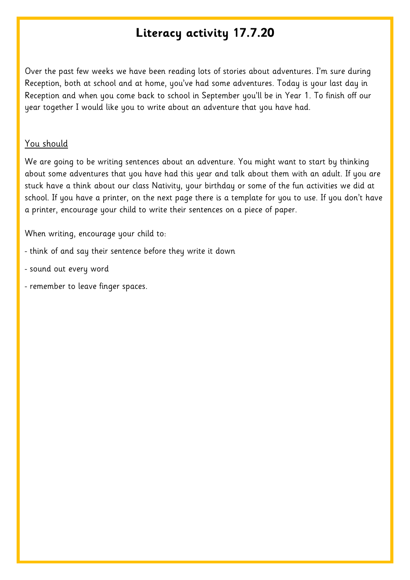## **Literacy activity 17.7.20**

Over the past few weeks we have been reading lots of stories about adventures. I'm sure during Reception, both at school and at home, you've had some adventures. Today is your last day in Reception and when you come back to school in September you'll be in Year 1. To finish off our year together I would like you to write about an adventure that you have had.

## You should

We are going to be writing sentences about an adventure. You might want to start by thinking about some adventures that you have had this year and talk about them with an adult. If you are stuck have a think about our class Nativity, your birthday or some of the fun activities we did at school. If you have a printer, on the next page there is a template for you to use. If you don't have a printer, encourage your child to write their sentences on a piece of paper.

When writing, encourage your child to:

- think of and say their sentence before they write it down
- sound out every word
- remember to leave finger spaces.